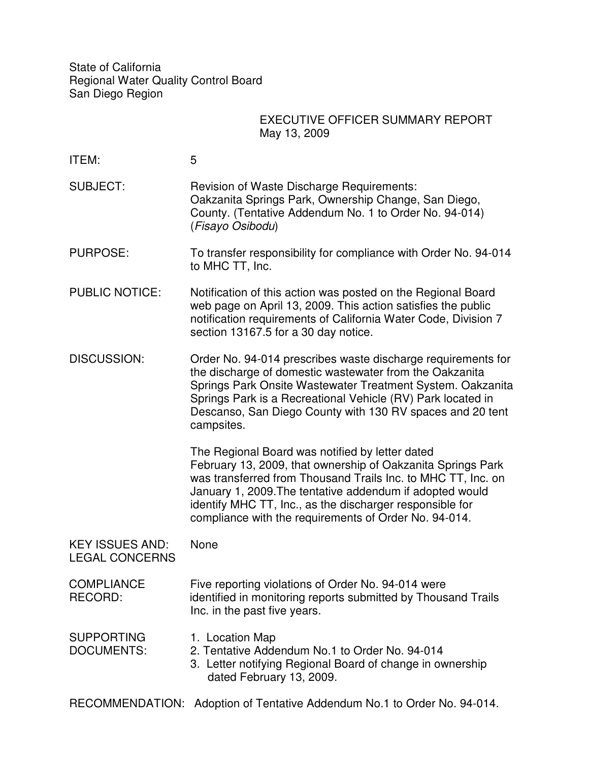State of California Regional Water Quality Control Board San Diego Region

## EXECUTIVE OFFICER SUMMARY REPORT May 13, 2009

| ITEM:                                           | 5                                                                                                                                                                                                                                                                                                                                                               |
|-------------------------------------------------|-----------------------------------------------------------------------------------------------------------------------------------------------------------------------------------------------------------------------------------------------------------------------------------------------------------------------------------------------------------------|
| <b>SUBJECT:</b>                                 | <b>Revision of Waste Discharge Requirements:</b><br>Oakzanita Springs Park, Ownership Change, San Diego,<br>County. (Tentative Addendum No. 1 to Order No. 94-014)<br>(Fisayo Osibodu)                                                                                                                                                                          |
| <b>PURPOSE:</b>                                 | To transfer responsibility for compliance with Order No. 94-014<br>to MHC TT, Inc.                                                                                                                                                                                                                                                                              |
| <b>PUBLIC NOTICE:</b>                           | Notification of this action was posted on the Regional Board<br>web page on April 13, 2009. This action satisfies the public<br>notification requirements of California Water Code, Division 7<br>section 13167.5 for a 30 day notice.                                                                                                                          |
| <b>DISCUSSION:</b>                              | Order No. 94-014 prescribes waste discharge requirements for<br>the discharge of domestic wastewater from the Oakzanita<br>Springs Park Onsite Wastewater Treatment System. Oakzanita<br>Springs Park is a Recreational Vehicle (RV) Park located in<br>Descanso, San Diego County with 130 RV spaces and 20 tent<br>campsites.                                 |
|                                                 | The Regional Board was notified by letter dated<br>February 13, 2009, that ownership of Oakzanita Springs Park<br>was transferred from Thousand Trails Inc. to MHC TT, Inc. on<br>January 1, 2009. The tentative addendum if adopted would<br>identify MHC TT, Inc., as the discharger responsible for<br>compliance with the requirements of Order No. 94-014. |
| <b>KEY ISSUES AND:</b><br><b>LEGAL CONCERNS</b> | None                                                                                                                                                                                                                                                                                                                                                            |
| <b>COMPLIANCE</b><br>RECORD:                    | Five reporting violations of Order No. 94-014 were<br>identified in monitoring reports submitted by Thousand Trails<br>Inc. in the past five years.                                                                                                                                                                                                             |
| <b>SUPPORTING</b><br><b>DOCUMENTS:</b>          | 1. Location Map<br>2. Tentative Addendum No.1 to Order No. 94-014<br>3. Letter notifying Regional Board of change in ownership<br>dated February 13, 2009.                                                                                                                                                                                                      |

RECOMMENDATION: Adoption of Tentative Addendum No.1 to Order No. 94-014.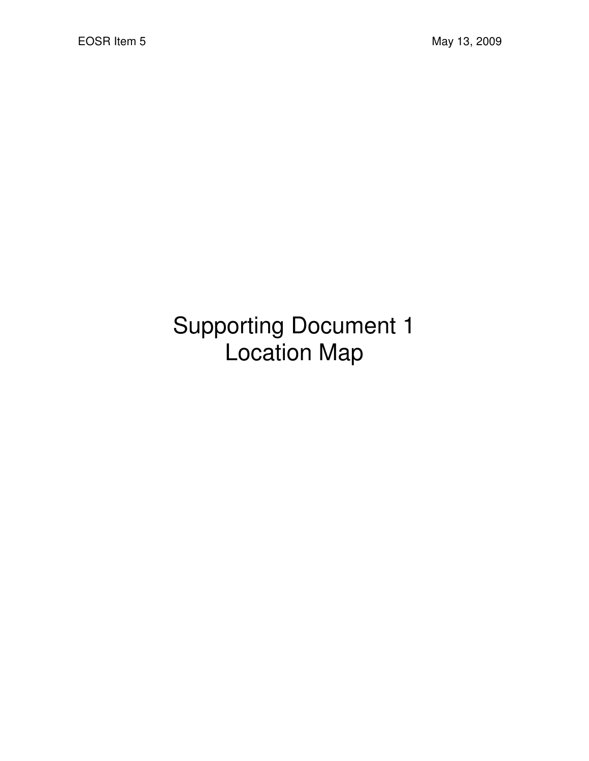## Supporting Document 1 Location Map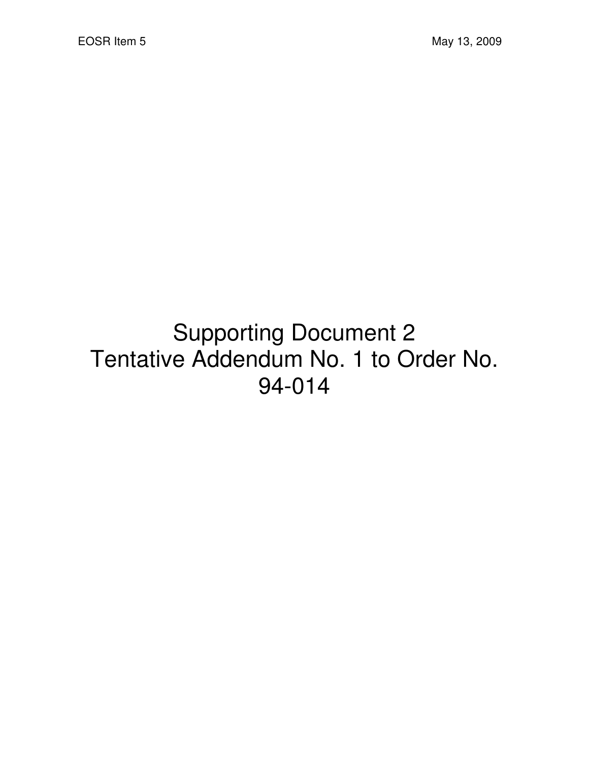## Supporting Document 2 Tentative Addendum No. 1 to Order No. 94-014